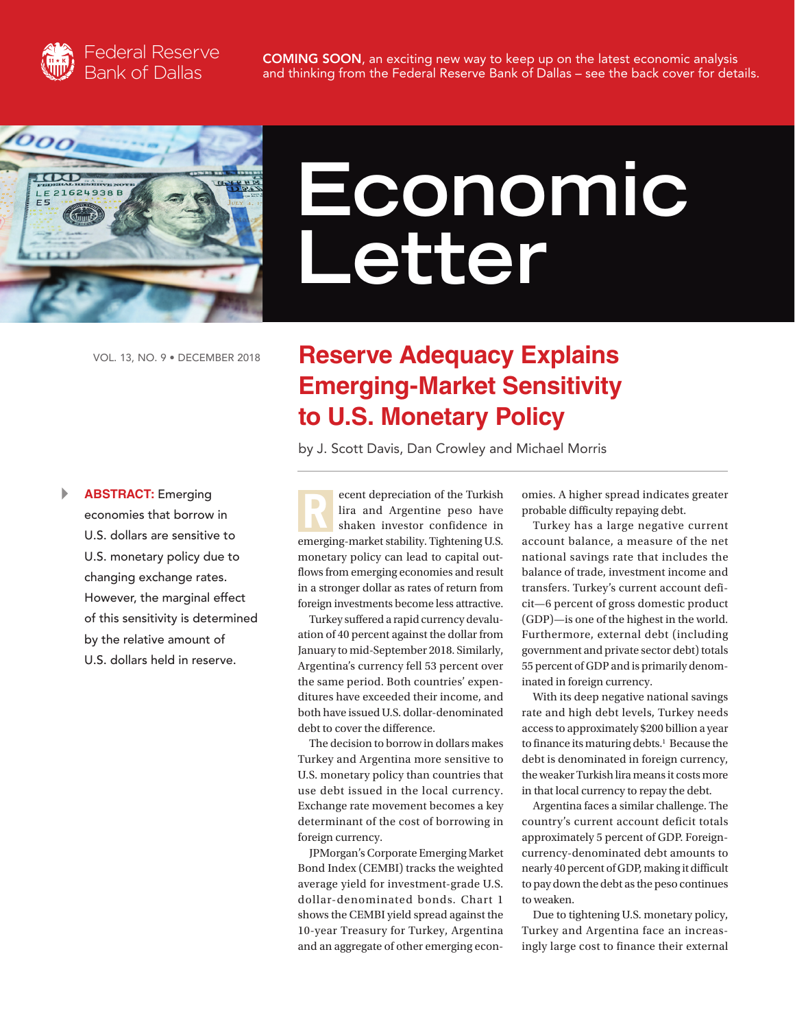

COMING SOON, an exciting new way to keep up on the latest economic analysis and thinking from the Federal Reserve Bank of Dallas – see the back cover for details.



# **Economic Letter**

VOL. 13, NO. 9 • DECEMBER 2018

## **Reserve Adequacy Explains Emerging-Market Sensitivity to U.S. Monetary Policy**

by J. Scott Davis, Dan Crowley and Michael Morris

ecent depreciation of the Turkish lira and Argentine peso have shaken investor confidence in emerging-market stability. Tightening U.S. monetary policy can lead to capital outflows from emerging economies and result in a stronger dollar as rates of return from foreign investments become less attractive.

Turkey suffered a rapid currency devaluation of 40 percent against the dollar from January to mid-September 2018. Similarly, Argentina's currency fell 53 percent over the same period. Both countries' expenditures have exceeded their income, and both have issued U.S. dollar-denominated debt to cover the difference.

The decision to borrow in dollars makes Turkey and Argentina more sensitive to U.S. monetary policy than countries that use debt issued in the local currency. Exchange rate movement becomes a key determinant of the cost of borrowing in foreign currency.

JPMorgan's Corporate Emerging Market Bond Index (CEMBI) tracks the weighted average yield for investment-grade U.S. dollar-denominated bonds. Chart 1 shows the CEMBI yield spread against the 10-year Treasury for Turkey, Argentina and an aggregate of other emerging economies. A higher spread indicates greater probable difficulty repaying debt.

Turkey has a large negative current account balance, a measure of the net national savings rate that includes the balance of trade, investment income and transfers. Turkey's current account deficit—6 percent of gross domestic product (GDP)—is one of the highest in the world. Furthermore, external debt (including government and private sector debt) totals 55 percent of GDP and is primarily denominated in foreign currency.

With its deep negative national savings rate and high debt levels, Turkey needs access to approximately \$200 billion a year to finance its maturing debts.<sup>1</sup> Because the debt is denominated in foreign currency, the weaker Turkish lira means it costs more in that local currency to repay the debt.

Argentina faces a similar challenge. The country's current account deficit totals approximately 5 percent of GDP. Foreigncurrency-denominated debt amounts to nearly 40 percent of GDP, making it difficult to pay down the debt as the peso continues to weaken.

Due to tightening U.S. monetary policy, Turkey and Argentina face an increasingly large cost to finance their external

**RBSTRACT:** Emerging<br>economies that borrow in<br>U.S. dollars are sensitive to economies that borrow in U.S. dollars are sensitive to U.S. monetary policy due to changing exchange rates. However, the marginal effect of this sensitivity is determined by the relative amount of U.S. dollars held in reserve. }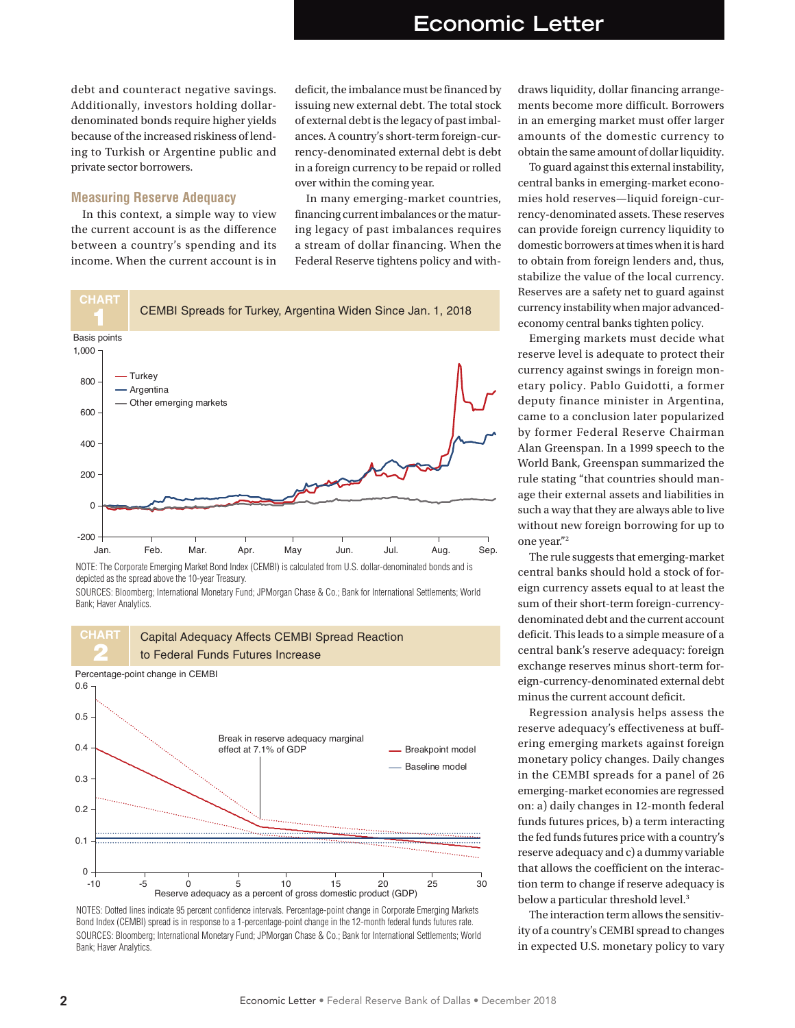debt and counteract negative savings. Additionally, investors holding dollardenominated bonds require higher yields because of the increased riskiness of lending to Turkish or Argentine public and private sector borrowers.

#### **Measuring Reserve Adequacy**

In this context, a simple way to view the current account is as the difference between a country's spending and its income. When the current account is in

deficit, the imbalance must be financed by issuing new external debt. The total stock of external debt is the legacy of past imbalances. A country's short-term foreign-currency-denominated external debt is debt in a foreign currency to be repaid or rolled over within the coming year.

In many emerging-market countries, financing current imbalances or the maturing legacy of past imbalances requires a stream of dollar financing. When the Federal Reserve tightens policy and with-



NOTE: The Corporate Emerging Market Bond Index (CEMBI) is calculated from U.S. dollar-denominated bonds and is depicted as the spread above the 10-year Treasury.

SOURCES: Bloomberg; International Monetary Fund; JPMorgan Chase & Co.; Bank for International Settlements; World Bank; Haver Analytics.



NOTES: Dotted lines indicate 95 percent confidence intervals. Percentage-point change in Corporate Emerging Markets Bond Index (CEMBI) spread is in response to a 1-percentage-point change in the 12-month federal funds futures rate. SOURCES: Bloomberg; International Monetary Fund; JPMorgan Chase & Co.; Bank for International Settlements; World Bank; Haver Analytics.

draws liquidity, dollar financing arrangements become more difficult. Borrowers in an emerging market must offer larger amounts of the domestic currency to obtain the same amount of dollar liquidity.

To guard against this external instability, central banks in emerging-market economies hold reserves—liquid foreign-currency-denominated assets. These reserves can provide foreign currency liquidity to domestic borrowers at times when it is hard to obtain from foreign lenders and, thus, stabilize the value of the local currency. Reserves are a safety net to guard against currency instability when major advancedeconomy central banks tighten policy.

Emerging markets must decide what reserve level is adequate to protect their currency against swings in foreign monetary policy. Pablo Guidotti, a former deputy finance minister in Argentina, came to a conclusion later popularized by former Federal Reserve Chairman Alan Greenspan. In a 1999 speech to the World Bank, Greenspan summarized the rule stating "that countries should manage their external assets and liabilities in such a way that they are always able to live without new foreign borrowing for up to one year."2

The rule suggests that emerging-market central banks should hold a stock of foreign currency assets equal to at least the sum of their short-term foreign-currencydenominated debt and the current account deficit. This leads to a simple measure of a central bank's reserve adequacy: foreign exchange reserves minus short-term foreign-currency-denominated external debt minus the current account deficit.

Regression analysis helps assess the reserve adequacy's effectiveness at buffering emerging markets against foreign monetary policy changes. Daily changes in the CEMBI spreads for a panel of 26 emerging-market economies are regressed on: a) daily changes in 12-month federal funds futures prices, b) a term interacting the fed funds futures price with a country's reserve adequacy and c) a dummy variable that allows the coefficient on the interaction term to change if reserve adequacy is below a particular threshold level.<sup>3</sup>

The interaction term allows the sensitivity of a country's CEMBI spread to changes in expected U.S. monetary policy to vary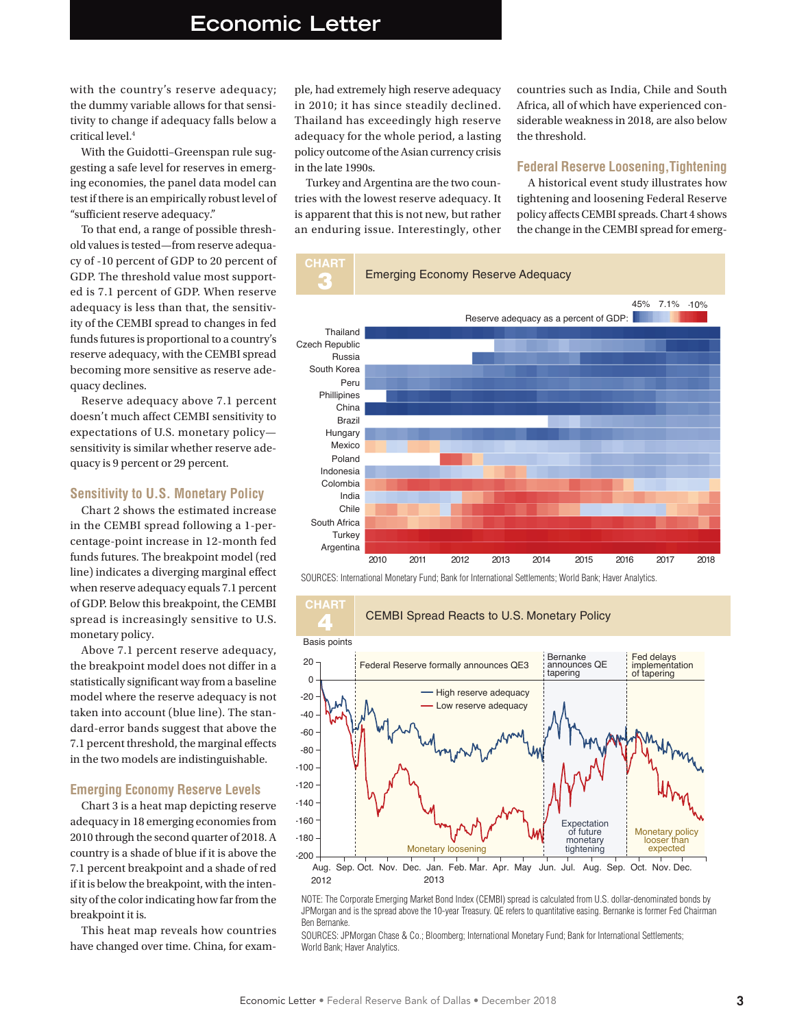### **Economic Letter**

with the country's reserve adequacy; the dummy variable allows for that sensitivity to change if adequacy falls below a critical level.4

With the Guidotti–Greenspan rule suggesting a safe level for reserves in emerging economies, the panel data model can test if there is an empirically robust level of "sufficient reserve adequacy."

To that end, a range of possible threshold values is tested—from reserve adequacy of -10 percent of GDP to 20 percent of GDP. The threshold value most supported is 7.1 percent of GDP. When reserve adequacy is less than that, the sensitivity of the CEMBI spread to changes in fed funds futures is proportional to a country's reserve adequacy, with the CEMBI spread becoming more sensitive as reserve adequacy declines.

Reserve adequacy above 7.1 percent doesn't much affect CEMBI sensitivity to expectations of U.S. monetary policy sensitivity is similar whether reserve adequacy is 9 percent or 29 percent.

#### **Sensitivity to U.S. Monetary Policy**

Chart 2 shows the estimated increase in the CEMBI spread following a 1-percentage-point increase in 12-month fed funds futures. The breakpoint model (red line) indicates a diverging marginal effect when reserve adequacy equals 7.1 percent of GDP. Below this breakpoint, the CEMBI spread is increasingly sensitive to U.S. monetary policy.

Above 7.1 percent reserve adequacy, the breakpoint model does not differ in a statistically significant way from a baseline model where the reserve adequacy is not taken into account (blue line). The standard-error bands suggest that above the 7.1 percent threshold, the marginal effects in the two models are indistinguishable.

#### **Emerging Economy Reserve Levels**

Chart 3 is a heat map depicting reserve adequacy in 18 emerging economies from 2010 through the second quarter of 2018. A country is a shade of blue if it is above the 7.1 percent breakpoint and a shade of red if it is below the breakpoint, with the intensity of the color indicating how far from the breakpoint it is.

This heat map reveals how countries have changed over time. China, for example, had extremely high reserve adequacy in 2010; it has since steadily declined. Thailand has exceedingly high reserve adequacy for the whole period, a lasting policy outcome of the Asian currency crisis in the late 1990s.

Turkey and Argentina are the two countries with the lowest reserve adequacy. It is apparent that this is not new, but rather an enduring issue. Interestingly, other countries such as India, Chile and South Africa, all of which have experienced considerable weakness in 2018, are also below the threshold.

#### **Federal Reserve Loosening,Tightening**

A historical event study illustrates how tightening and loosening Federal Reserve policy affects CEMBI spreads. Chart 4 shows the change in the CEMBI spread for emerg-





#### **CHART** 4 CEMBI Spread Reacts to U.S. Monetary Policy Basis points 20 0  $-20$ -40 -60 -80 -100 -120 -140 -160 Federal Reserve formally announces QE3 Bernanke announces QE tapering Fed delays implementation of tapering High reserve adequacy Low reserve adequacy

2012 2013 Aug. Sep. Oct. Nov. Dec. Jan. Feb. Mar. Apr. May Jun. Jul. Aug. Sep. Oct. Nov. Dec. -180  $-200$ Monetary loo of future monetary tightening Monetary policy<br>looser than expected

Expectation

SOURCES: JPMorgan Chase & Co.; Bloomberg; International Monetary Fund; Bank for International Settlements; World Bank; Haver Analytics.

NOTE: The Corporate Emerging Market Bond Index (CEMBI) spread is calculated from U.S. dollar-denominated bonds by JPMorgan and is the spread above the 10-year Treasury. QE refers to quantitative easing. Bernanke is former Fed Chairman Ben Bernanke.